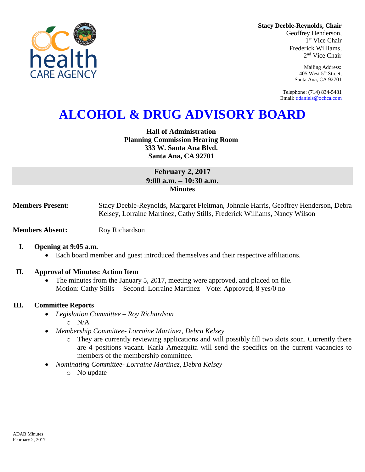

**Stacy Deeble-Reynolds, Chair**

Geoffrey Henderson, 1 st Vice Chair Frederick Williams, 2 nd Vice Chair

> Mailing Address: 405 West 5th Street, Santa Ana, CA 92701

Telephone: (714) 834-5481 Email[: ddaniels@ochca.com](mailto:ddaniels@ochca.com)

# **ALCOHOL & DRUG ADVISORY BOARD**

**Hall of Administration Planning Commission Hearing Room 333 W. Santa Ana Blvd. Santa Ana, CA 92701** 

## **February 2, 2017 9:00 a.m. – 10:30 a.m. Minutes**

**Members Present:** Stacy Deeble-Reynolds, Margaret Fleitman, Johnnie Harris, Geoffrey Henderson, Debra Kelsey, Lorraine Martinez, Cathy Stills, Frederick Williams**,** Nancy Wilson

- **Members Absent:** Roy Richardson
	- **I. Opening at 9:05 a.m.**
		- Each board member and guest introduced themselves and their respective affiliations.

### **II. Approval of Minutes: Action Item**

 The minutes from the January 5, 2017, meeting were approved, and placed on file. Motion: Cathy Stills Second: Lorraine Martinez Vote: Approved, 8 yes/0 no

### **III. Committee Reports**

- *Legislation Committee – Roy Richardson* o N/A
- *Membership Committee- Lorraine Martinez, Debra Kelsey* 
	- o They are currently reviewing applications and will possibly fill two slots soon. Currently there are 4 positions vacant. Karla Amezquita will send the specifics on the current vacancies to members of the membership committee.
- *Nominating Committee- Lorraine Martinez, Debra Kelsey*
	- o No update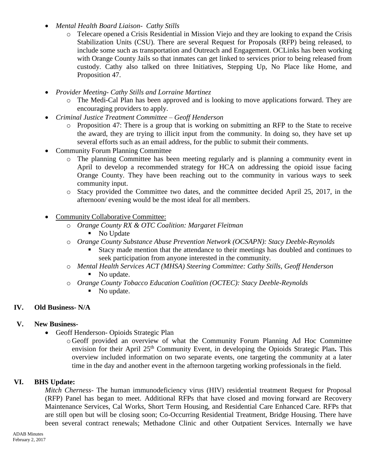- *Mental Health Board Liaison- Cathy Stills*
	- o Telecare opened a Crisis Residential in Mission Viejo and they are looking to expand the Crisis Stabilization Units (CSU). There are several Request for Proposals (RFP) being released, to include some such as transportation and Outreach and Engagement. OCLinks has been working with Orange County Jails so that inmates can get linked to services prior to being released from custody. Cathy also talked on three Initiatives, Stepping Up, No Place like Home, and Proposition 47.
- *Provider Meeting- Cathy Stills and Lorraine Martinez*
	- o The Medi-Cal Plan has been approved and is looking to move applications forward. They are encouraging providers to apply.
- *Criminal Justice Treatment Committee – Geoff Henderson*
	- o Proposition 47: There is a group that is working on submitting an RFP to the State to receive the award, they are trying to illicit input from the community. In doing so, they have set up several efforts such as an email address, for the public to submit their comments.
- Community Forum Planning Committee
	- o The planning Committee has been meeting regularly and is planning a community event in April to develop a recommended strategy for HCA on addressing the opioid issue facing Orange County. They have been reaching out to the community in various ways to seek community input.
	- o Stacy provided the Committee two dates, and the committee decided April 25, 2017, in the afternoon/ evening would be the most ideal for all members.
- Community Collaborative Committee:
	- o *Orange County RX & OTC Coalition: Margaret Fleitman*
		- No Update
	- o *Orange County Substance Abuse Prevention Network (OCSAPN): Stacy Deeble-Reynolds*
		- Stacy made mention that the attendance to their meetings has doubled and continues to seek participation from anyone interested in the community.
	- o *Mental Health Services ACT (MHSA) Steering Committee: Cathy Stills, Geoff Henderson* • No update.
	- o *Orange County Tobacco Education Coalition (OCTEC): Stacy Deeble-Reynolds* No update.
	-

# **IV. Old Business- N/A**

# **V. New Business-**

- Geoff Henderson- Opioids Strategic Plan
	- o Geoff provided an overview of what the Community Forum Planning Ad Hoc Committee envision for their April 25<sup>th</sup> Community Event, in developing the Opioids Strategic Plan. This overview included information on two separate events, one targeting the community at a later time in the day and another event in the afternoon targeting working professionals in the field.

# **VI. BHS Update:**

*Mitch Cherness-* The human immunodeficiency virus (HIV) residential treatment Request for Proposal (RFP) Panel has began to meet. Additional RFPs that have closed and moving forward are Recovery Maintenance Services, Cal Works, Short Term Housing, and Residential Care Enhanced Care. RFPs that are still open but will be closing soon; Co-Occurring Residential Treatment, Bridge Housing. There have been several contract renewals; Methadone Clinic and other Outpatient Services. Internally we have